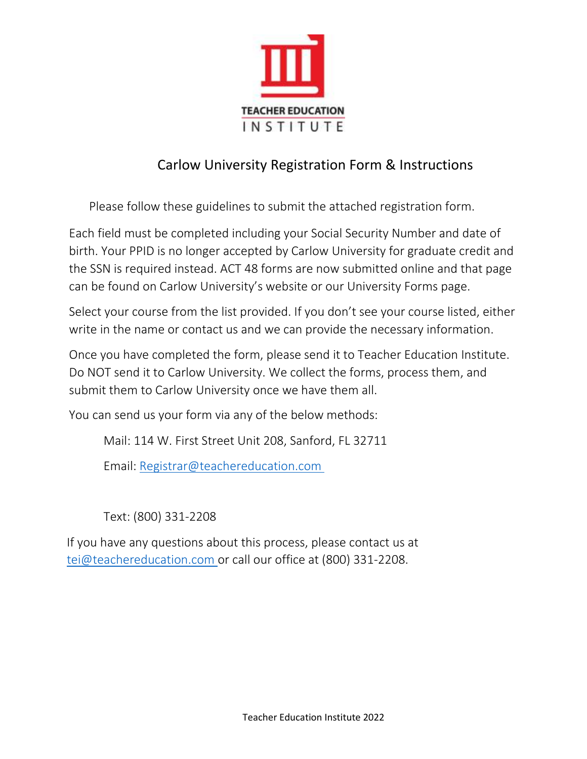

## Carlow University Registration Form & Instructions

Please follow these guidelines to submit the attached registration form.

Each field must be completed including your Social Security Number and date of birth. Your PPID is no longer accepted by Carlow University for graduate credit and the SSN is required instead. ACT 48 forms are now submitted online and that page can be found on Carlow University's website or our University Forms page.

Select your course from the list provided. If you don't see your course listed, either write in the name or contact us and we can provide the necessary information.

Once you have completed the form, please send it to Teacher Education Institute. Do NOT send it to Carlow University. We collect the forms, process them, and submit them to Carlow University once we have them all.

You can send us your form via any of the below methods:

Mail: 114 W. First Street Unit 208, Sanford, FL 32711

Email: [Registrar@teachereducation.com](mailto:Registrar@teachereducation.com) 

Text: (800) 331-2208

If you have any questions about this process, please contact us at [tei@teachereducation.com o](mailto:tei@teachereducation.com)r call our office at (800) 331-2208.